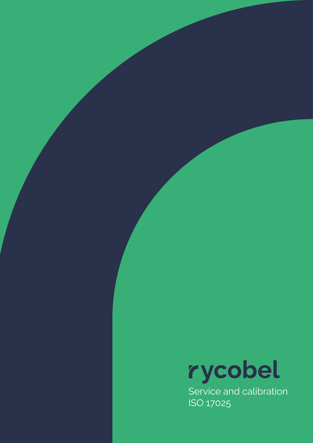

Service and calibration ISO 17025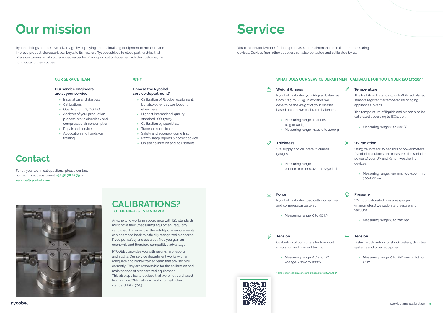#### **WHY**

#### **Choose the Rycobel service department?**

- » Calibration of Rycobel equipment, but also other devices bought elsewhere
- » Highest international quality standard: ISO 17025
- » Calibration by specialists
- » Traceable certificate
- » Safety and accuracy come first
- » Razor-sharp reports & correct advice
- » On site calibration and adjustment

#### **Our service engineers are at your service**

- » Installation and start-up
- » Calibrations
- » Qualification: IQ, OQ, PQ
- » Analysis of your production process: static electricity and compressed air consumption
- » Repair and service
- » Application and hands-on training

# **Our mission**

We supply and calibrate thickness gauges.

 $\overline{\Box}$ **Force**

Rycobel brings competitive advantage by supplying and maintaining equipment to measure and improve product characteristics. Loyal to its mission, Rycobel strives to close partnerships that offers customers an absolute added value. By offering a solution together with the customer, we contribute to their succes.

#### $\overline{\mathcal{A}}$ **Tension**

# **Service**

You can contact Rycobel for both purchase and maintenance of calibrated measuring devices. Devices from other suppliers can also be tested and calibrated by us.

#### **OUR SERVICE TEAM OUR SERVICE TEAM WHAT DOES OUR SERVICE DEPARTMENT CALIBRATE FOR YOU UNDER ISO 17025? \***

## **Contact**

For all your technical questions, please contact our technical department: **+32 56 78 21 79** or **service@rycobel.com**.



#### **Weight & mass**

Rycobel calibrates your (digital) balances from 10 g to 80 kg. In addition, we determine the weight of your masses based on our own calibrated balances.

- » Measuring range balances: 10 g to 80 kg
- » Measuring range mass: 0 to 2000 g

#### **Thickness**

» Measuring range: 0,1 to 10 mm or 0,020 to 0,250 inch

Rycobel calibrates load cells (for tensile and compression testers).

» Measuring range: 0 to 50 kN

Calibration of controllers for transport simulation and product testing.

» Measuring range: AC and DC voltage; 40mV to 1000V

#### **Temperature**

The BST (Black Standard) or BPT (Black Panel) sensors register the temperature of aging appliances, ovens, ...

The temperature of liquids and air can also be calibrated according to ISO17025.

» Measuring range: 0 to 800 °C



#### **UV radiation**

Using calibrated UV sensors or power meters, Rycobel calculates and measures the radiation power of your UV and Xenon weathering devices.

» Measuring range: 340 nm, 300-400 nm or 300-800 nm

### $\bigcirc$

### **Pressure**

With our calibrated pressure gauges (manometers) we calibrate pressure and vacuum.

» Measuring range: 0 to 200 bar



#### **Tension**

Distance calibration for shock testers, drop test systems and other equipment.

» Measuring range: 0 to 200 mm or 0,5 to 24 m

**\* The other calibrations are traceable to ISO 17025.**





## **CALIBRATIONS? TO THE HIGHEST STANDARD!**

Anyone who works in accordance with ISO standards must have their (measuring) equipment regularly calibrated. For example, the validity of measurements can be traced back to officially recognized standards. If you put safety and accuracy first, you gain an economic and therefore competitive advantage.

RYCOBEL provides you with razor-sharp reports and audits. Our service department works with an adequate and highly trained team that advises you correctly. They are responsible for the calibration and maintenance of standardized equipment. This also applies to devices that were not purchased from us. RYCOBEL always works to the highest standard: ISO 17025.